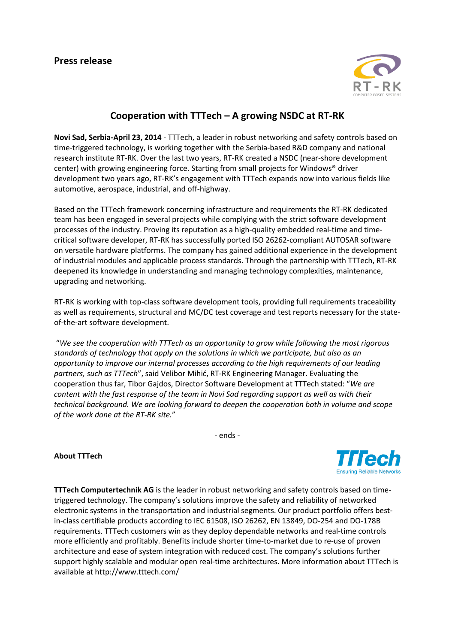

## **Cooperation with TTTech – A growing NSDC at RT-RK**

**Novi Sad, Serbia-April 23, 2014** - TTTech, a leader in robust networking and safety controls based on time-triggered technology, is working together with the Serbia-based R&D company and national research institute RT-RK. Over the last two years, RT-RK created a NSDC (near-shore development center) with growing engineering force. Starting from small projects for Windows® driver development two years ago, RT-RK's engagement with TTTech expands now into various fields like automotive, aerospace, industrial, and off-highway.

Based on the TTTech framework concerning infrastructure and requirements the RT-RK dedicated team has been engaged in several projects while complying with the strict software development processes of the industry. Proving its reputation as a high-quality embedded real-time and timecritical software developer, RT-RK has successfully ported ISO 26262-compliant AUTOSAR software on versatile hardware platforms. The company has gained additional experience in the development of industrial modules and applicable process standards. Through the partnership with TTTech, RT-RK deepened its knowledge in understanding and managing technology complexities, maintenance, upgrading and networking.

RT-RK is working with top-class software development tools, providing full requirements traceability as well as requirements, structural and MC/DC test coverage and test reports necessary for the stateof-the-art software development.

"*We see the cooperation with TTTech as an opportunity to grow while following the most rigorous standards of technology that apply on the solutions in which we participate, but also as an opportunity to improve our internal processes according to the high requirements of our leading partners, such as TTTech*", said Velibor Mihić, RT-RK Engineering Manager. Evaluating the cooperation thus far, Tibor Gajdos, Director Software Development at TTTech stated: "*We are content with the fast response of the team in Novi Sad regarding support as well as with their technical background. We are looking forward to deepen the cooperation both in volume and scope of the work done at the RT-RK site.*"

- ends -

**About TTTech**



**TTTech Computertechnik AG** is the leader in robust networking and safety controls based on timetriggered technology. The company's solutions improve the safety and reliability of networked electronic systems in the transportation and industrial segments. Our product portfolio offers bestin-class certifiable products according to IEC 61508, ISO 26262, EN 13849, DO-254 and DO-178B requirements. TTTech customers win as they deploy dependable networks and real-time controls more efficiently and profitably. Benefits include shorter time-to-market due to re-use of proven architecture and ease of system integration with reduced cost. The company's solutions further support highly scalable and modular open real-time architectures. More information about TTTech is available at <http://www.tttech.com/>